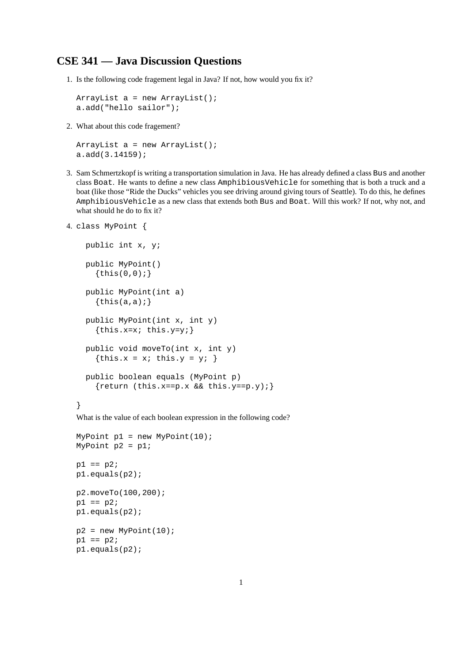## **CSE 341 — Java Discussion Questions**

1. Is the following code fragement legal in Java? If not, how would you fix it?

```
ArrayList a = new ArrayList();
a.add("hello sailor");
```
2. What about this code fragement?

```
ArrayList a = new ArrayList();
a.add(3.14159);
```
3. Sam Schmertzkopf is writing a transportation simulation in Java. He has already defined a class Bus and another class Boat. He wants to define a new class AmphibiousVehicle for something that is both a truck and a boat (like those "Ride the Ducks" vehicles you see driving around giving tours of Seattle). To do this, he defines AmphibiousVehicle as a new class that extends both Bus and Boat. Will this work? If not, why not, and what should he do to fix it?

```
4. class MyPoint {
```

```
public int x, y;
public MyPoint()
  \{this(0,0); \}public MyPoint(int a)
  \{this(a,a);\}public MyPoint(int x, int y)
  \{this.x=x; this.y=y;\}public void moveTo(int x, int y)
  {this.x = x; this.y = y; }
public boolean equals (MyPoint p)
  {return (this.x==p.x && this.y==p.y);}
```
## }

What is the value of each boolean expression in the following code?

```
MyPoint p1 = new MyPoint(10);
MyPoint p2 = p1;
p1 == p2;p1.equals(p2);
p2.moveTo(100,200);
p1 == p2;p1.equals(p2);
p2 = new MyPoint(10);p1 == p2;p1.equals(p2);
```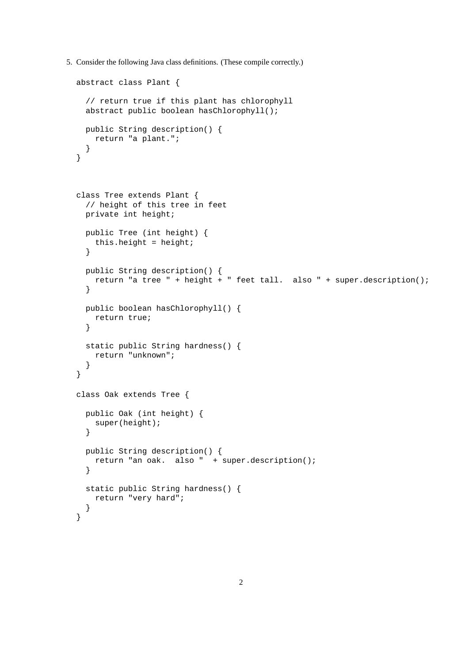5. Consider the following Java class definitions. (These compile correctly.)

```
abstract class Plant {
  // return true if this plant has chlorophyll
  abstract public boolean hasChlorophyll();
 public String description() {
   return "a plant.";
  }
}
class Tree extends Plant {
 // height of this tree in feet
 private int height;
  public Tree (int height) {
   this.height = height;
  }
  public String description() {
   return "a tree " + height + " feet tall. also " + super.description();
  }
  public boolean hasChlorophyll() {
   return true;
  }
  static public String hardness() {
   return "unknown";
  }
}
class Oak extends Tree {
 public Oak (int height) {
   super(height);
  }
  public String description() {
   return "an oak. also " + super.description();
  }
  static public String hardness() {
   return "very hard";
  }
}
```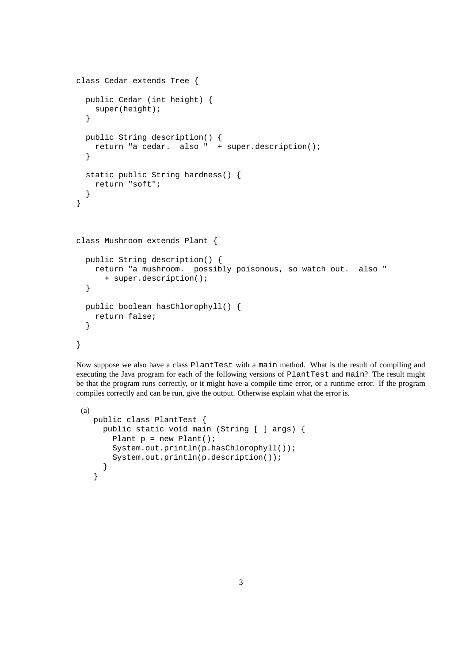```
class Cedar extends Tree {
 public Cedar (int height) {
    super(height);
  }
 public String description() {
    return "a cedar. also " + super.description();
  }
  static public String hardness() {
    return "soft";
  }
}
class Mushroom extends Plant {
 public String description() {
    return "a mushroom. possibly poisonous, so watch out. also "
      + super.description();
  }
 public boolean hasChlorophyll() {
    return false;
  }
}
```
Now suppose we also have a class PlantTest with a main method. What is the result of compiling and executing the Java program for each of the following versions of PlantTest and main? The result might be that the program runs correctly, or it might have a compile time error, or a runtime error. If the program compiles correctly and can be run, give the output. Otherwise explain what the error is.

```
(a)
  public class PlantTest {
    public static void main (String [ ] args) {
      Plant p = new Plant();
       System.out.println(p.hasChlorophyll());
      System.out.println(p.description());
     }
  }
```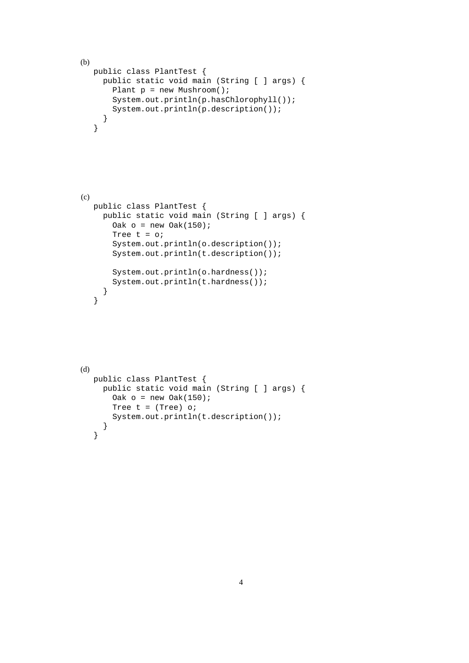```
(b)
  public class PlantTest {
    public static void main (String [ ] args) {
      Plant p = new Mushroom();
      System.out.println(p.hasChlorophyll());
      System.out.println(p.description());
     }
   }
(c)public class PlantTest {
    public static void main (String [ ] args) {
      Oak o = new Oak(150);
      Tree t = o;
      System.out.println(o.description());
      System.out.println(t.description());
      System.out.println(o.hardness());
      System.out.println(t.hardness());
     }
   }
(d)
  public class PlantTest {
    public static void main (String [ ] args) {
      Oak o = new Oak(150);
      Tree t = (Tree) o;
      System.out.println(t.description());
     }
   }
```